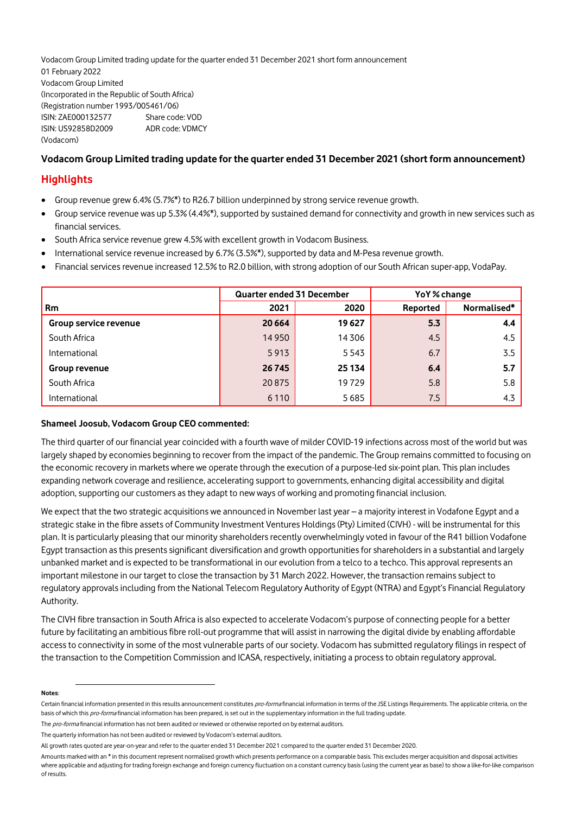Vodacom Group Limited trading update for the quarter ended 31 December 2021 short form announcement 01 February 2022 Vodacom Group Limited (Incorporated in the Republic of South Africa) (Registration number 1993/005461/06) ISIN: ZAE000132577 Share code: VOD ISIN: US92858D2009 ADR code: VDMCY (Vodacom)

## **Vodacom Group Limited trading update for the quarter ended 31 December 2021 (short form announcement)**

## **Highlights**

- Group revenue grew 6.4% (5.7%\*) to R26.7 billion underpinned by strong service revenue growth.
- Group service revenue was up 5.3% (4.4%\*), supported by sustained demand for connectivity and growth in new services such as financial services.
- South Africa service revenue grew 4.5% with excellent growth in Vodacom Business.
- International service revenue increased by 6.7% (3.5%\*), supported by data and M-Pesa revenue growth.
- Financial services revenue increased 12.5% to R2.0 billion, with strong adoption of our South African super-app, VodaPay.

|                       | <b>Quarter ended 31 December</b> |         | YoY% change |             |
|-----------------------|----------------------------------|---------|-------------|-------------|
| <b>Rm</b>             | 2021                             | 2020    | Reported    | Normalised* |
| Group service revenue | 20 6 64                          | 19627   | 5.3         | 4.4         |
| South Africa          | 14 9 50                          | 14306   | 4.5         | 4.5         |
| International         | 5913                             | 5 5 4 3 | 6.7         | 3.5         |
| Group revenue         | 26 745                           | 25 134  | 6.4         | 5.7         |
| South Africa          | 20875                            | 19729   | 5.8         | 5.8         |
| International         | 6 1 1 0                          | 5685    | 7.5         | 4.3         |

## **Shameel Joosub, Vodacom Group CEO commented:**

The third quarter of our financial year coincided with a fourth wave of milder COVID-19 infections across most of the world but was largely shaped by economies beginning to recover from the impact of the pandemic. The Group remains committed to focusing on the economic recovery in markets where we operate through the execution of a purpose-led six-point plan. This plan includes expanding network coverage and resilience, accelerating support to governments, enhancing digital accessibility and digital adoption, supporting our customers as they adapt to new ways of working and promoting financial inclusion.

We expect that the two strategic acquisitions we announced in November last year – a majority interest in Vodafone Egypt and a strategic stake in the fibre assets of Community Investment Ventures Holdings (Pty) Limited (CIVH) - will be instrumental for this plan. It is particularly pleasing that our minority shareholders recently overwhelmingly voted in favour of the R41 billion Vodafone Egypt transaction as this presents significant diversification and growth opportunities for shareholders in a substantial and largely unbanked market and is expected to be transformational in our evolution from a telco to a techco. This approval represents an important milestone in our target to close the transaction by 31 March 2022. However, the transaction remains subject to regulatory approvals including from the National Telecom Regulatory Authority of Egypt (NTRA) and Egypt's Financial Regulatory Authority.

The CIVH fibre transaction in South Africa is also expected to accelerate Vodacom's purpose of connecting people for a better future by facilitating an ambitious fibre roll-out programme that will assist in narrowing the digital divide by enabling affordable access to connectivity in some of the most vulnerable parts of our society. Vodacom has submitted regulatory filings in respect of the transaction to the Competition Commission and ICASA, respectively, initiating a process to obtain regulatory approval.

## <span id="page-0-0"></span>**Notes**:

Certain financial information presented in this results announcement constitutes pro-forma financial information in terms of the JSE Listings Requirements. The applicable criteria, on the basis of which this pro-forma financial information has been prepared, is set out in the supplementary information in the full trading update.

The *pro-forma* financial information has not been audited or reviewed or otherwise reported on by external auditors.

The quarterly information has not been audited or reviewed by Vodacom's external auditors.

All growth rates quoted are year-on-year and refer to the quarter ended 31 December 2021 compared to the quarter ended 31 December 2020.

Amounts marked with an \* in this document represent normalised growth which presents performance on a comparable basis. This excludes merger acquisition and disposal activities where applicable and adjusting for trading foreign exchange and foreign currency fluctuation on a constant currency basis (using the current year as base) to show a like-for-like comparison of results.